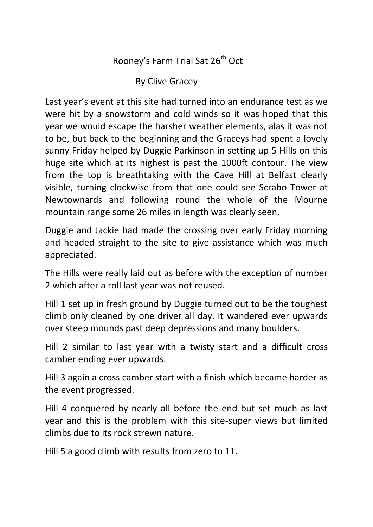## Rooney's Farm Trial Sat 26<sup>th</sup> Oct

By Clive Gracey

Last year's event at this site had turned into an endurance test as we were hit by a snowstorm and cold winds so it was hoped that this year we would escape the harsher weather elements, alas it was not to be, but back to the beginning and the Graceys had spent a lovely sunny Friday helped by Duggie Parkinson in setting up 5 Hills on this huge site which at its highest is past the 1000ft contour. The view from the top is breathtaking with the Cave Hill at Belfast clearly visible, turning clockwise from that one could see Scrabo Tower at Newtownards and following round the whole of the Mourne mountain range some 26 miles in length was clearly seen.

Duggie and Jackie had made the crossing over early Friday morning and headed straight to the site to give assistance which was much appreciated.

The Hills were really laid out as before with the exception of number 2 which after a roll last year was not reused.

Hill 1 set up in fresh ground by Duggie turned out to be the toughest climb only cleaned by one driver all day. It wandered ever upwards over steep mounds past deep depressions and many boulders.

Hill 2 similar to last year with a twisty start and a difficult cross camber ending ever upwards.

Hill 3 again a cross camber start with a finish which became harder as the event progressed.

Hill 4 conquered by nearly all before the end but set much as last year and this is the problem with this site-super views but limited climbs due to its rock strewn nature.

Hill 5 a good climb with results from zero to 11.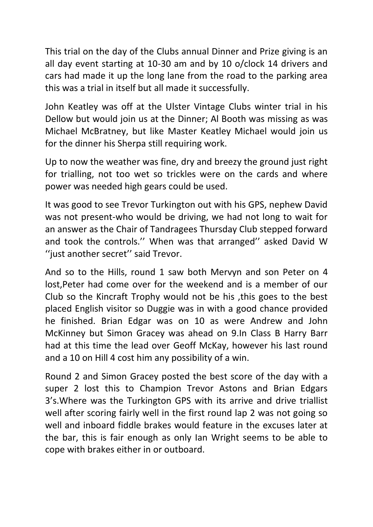This trial on the day of the Clubs annual Dinner and Prize giving is an all day event starting at 10-30 am and by 10 o/clock 14 drivers and cars had made it up the long lane from the road to the parking area this was a trial in itself but all made it successfully.

John Keatley was off at the Ulster Vintage Clubs winter trial in his Dellow but would join us at the Dinner; Al Booth was missing as was Michael McBratney, but like Master Keatley Michael would join us for the dinner his Sherpa still requiring work.

Up to now the weather was fine, dry and breezy the ground just right for trialling, not too wet so trickles were on the cards and where power was needed high gears could be used.

It was good to see Trevor Turkington out with his GPS, nephew David was not present-who would be driving, we had not long to wait for an answer as the Chair of Tandragees Thursday Club stepped forward and took the controls.'' When was that arranged'' asked David W ''just another secret'' said Trevor.

And so to the Hills, round 1 saw both Mervyn and son Peter on 4 lost,Peter had come over for the weekend and is a member of our Club so the Kincraft Trophy would not be his ,this goes to the best placed English visitor so Duggie was in with a good chance provided he finished. Brian Edgar was on 10 as were Andrew and John McKinney but Simon Gracey was ahead on 9.In Class B Harry Barr had at this time the lead over Geoff McKay, however his last round and a 10 on Hill 4 cost him any possibility of a win.

Round 2 and Simon Gracey posted the best score of the day with a super 2 lost this to Champion Trevor Astons and Brian Edgars 3's.Where was the Turkington GPS with its arrive and drive triallist well after scoring fairly well in the first round lap 2 was not going so well and inboard fiddle brakes would feature in the excuses later at the bar, this is fair enough as only Ian Wright seems to be able to cope with brakes either in or outboard.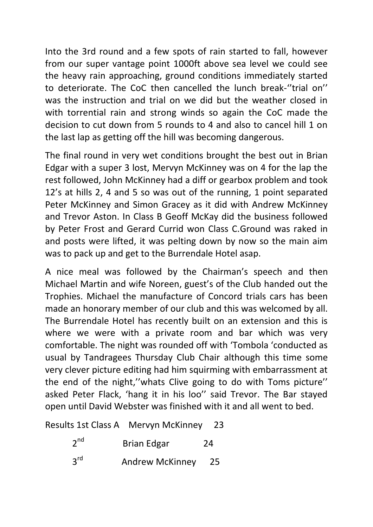Into the 3rd round and a few spots of rain started to fall, however from our super vantage point 1000ft above sea level we could see the heavy rain approaching, ground conditions immediately started to deteriorate. The CoC then cancelled the lunch break-''trial on'' was the instruction and trial on we did but the weather closed in with torrential rain and strong winds so again the CoC made the decision to cut down from 5 rounds to 4 and also to cancel hill 1 on the last lap as getting off the hill was becoming dangerous.

The final round in very wet conditions brought the best out in Brian Edgar with a super 3 lost, Mervyn McKinney was on 4 for the lap the rest followed, John McKinney had a diff or gearbox problem and took 12's at hills 2, 4 and 5 so was out of the running, 1 point separated Peter McKinney and Simon Gracey as it did with Andrew McKinney and Trevor Aston. In Class B Geoff McKay did the business followed by Peter Frost and Gerard Currid won Class C.Ground was raked in and posts were lifted, it was pelting down by now so the main aim was to pack up and get to the Burrendale Hotel asap.

A nice meal was followed by the Chairman's speech and then Michael Martin and wife Noreen, guest's of the Club handed out the Trophies. Michael the manufacture of Concord trials cars has been made an honorary member of our club and this was welcomed by all. The Burrendale Hotel has recently built on an extension and this is where we were with a private room and bar which was very comfortable. The night was rounded off with 'Tombola 'conducted as usual by Tandragees Thursday Club Chair although this time some very clever picture editing had him squirming with embarrassment at the end of the night,''whats Clive going to do with Toms picture'' asked Peter Flack, 'hang it in his loo'' said Trevor. The Bar stayed open until David Webster was finished with it and all went to bed.

Results 1st Class A Mervyn McKinney 23

| 2 <sup>nd</sup> | <b>Brian Edgar</b>     | 24 |
|-----------------|------------------------|----|
| $3^{\text{rd}}$ | <b>Andrew McKinney</b> | 25 |